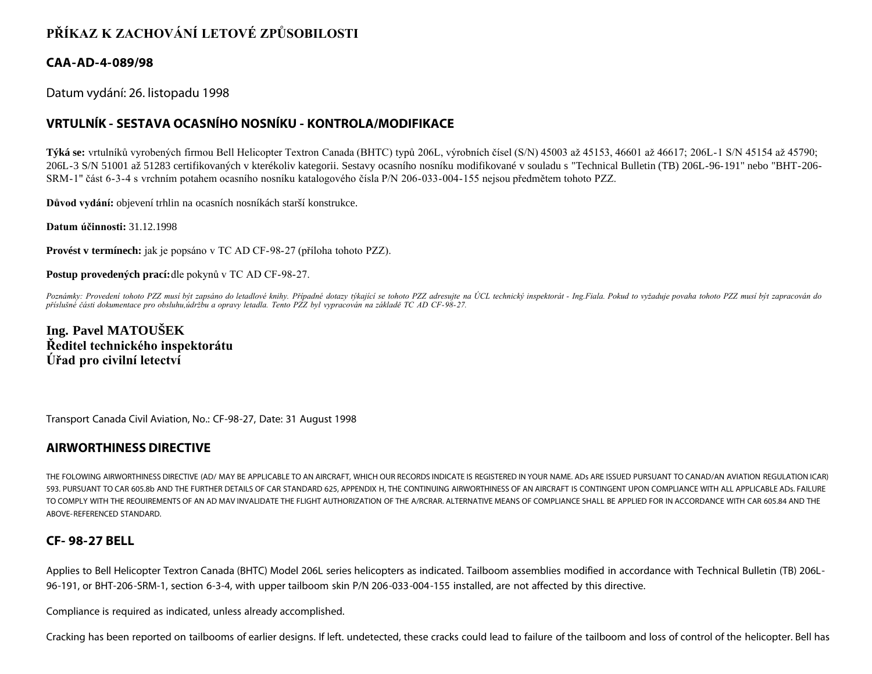# **PŘÍKAZ K ZACHOVÁNÍ LETOVÉ ZPŮSOBILOSTI**

### **CAA-AD-4-089/98**

Datum vydání: 26. listopadu 1998

## **VRTULNÍK - SESTAVA OCASNÍHO NOSNÍKU - KONTROLA/MODIFIKACE**

**Týká se:** vrtulníků vyrobených firmou Bell Helicopter Textron Canada (BHTC) typů 206L, výrobních čísel (S/N) 45003 až 45153, 46601 až 46617; 206L-1 S/N 45154 až 45790; 206L-3 S/N 51001 až 51283 certifikovaných v kterékoliv kategorii. Sestavy ocasního nosníku modifikované v souladu s "Technical Bulletin (TB) 206L-96-191" nebo "BHT-206- SRM-1" část 6-3-4 s vrchním potahem ocasního nosníku katalogového čísla P/N 206-033-004-155 nejsou předmětem tohoto PZZ.

**Důvod vydání:** objevení trhlin na ocasních nosníkách starší konstrukce.

**Datum účinnosti:** 31.12.1998

**Provést v termínech:** jak je popsáno v TC AD CF-98-27 (příloha tohoto PZZ).

**Postup provedených prací:**dle pokynů v TC AD CF-98-27.

*Poznámky: Provedení tohoto PZZ musí být zapsáno do letadlové knihy. Případné dotazy týkající se tohoto PZZ adresujte na ÚCL technický inspektorát - Ing.Fiala. Pokud to vyžaduje povaha tohoto PZZ musí být zapracován do příslušné části dokumentace pro obsluhu,údržbu a opravy letadla. Tento PZZ byl vypracován na základě TC AD CF-98-27.*

**Ing. Pavel MATOUŠEK Ředitel technického inspektorátu Úřad pro civilní letectví**

Transport Canada Civil Aviation, No.: CF-98-27, Date: 31 August 1998

### **AIRWORTHINESS DIRECTIVE**

THE FOLOWING AIRWORTHINESS DIRECTIVE (AD/ MAY BE APPLICABLE TO AN AIRCRAFT, WHICH OUR RECORDS INDICATE IS REGISTERED IN YOUR NAME. ADs ARE ISSUED PURSUANT TO CANAD/AN AVIATION REGULATION ICAR) 593. PURSUANT TO CAR 605.8b AND THE FURTHER DETAILS OF CAR STANDARD 625, APPENDIX H, THE CONTINUING AIRWORTHINESS OF AN AIRCRAFT IS CONTINGENT UPON COMPLIANCE WITH ALL APPLICABLE ADs. FAILURE TO COMPLY WITH THE REOUIREMENTS OF AN AD MAV INVALIDATE THE FLIGHT AUTHORIZATION OF THE A/RCRAR. ALTERNATIVE MEANS OF COMPLIANCE SHALL BE APPLIED FOR IN ACCORDANCE WITH CAR 605.84 AND THE ABOVE-REFERENCED STANDARD.

### **CF- 98-27 BELL**

Applies to Bell Helicopter Textron Canada (BHTC) Model 206L series helicopters as indicated. Tailboom assemblies modified in accordance with Technical Bulletin (TB) 206L-96-191, or BHT-206-SRM-1, section 6-3-4, with upper tailboom skin P/N 206-033-004-155 installed, are not affected by this directive.

Compliance is required as indicated, unless already accomplished.

Cracking has been reported on tailbooms of earlier designs. If left. undetected, these cracks could lead to failure of the tailboom and loss of control of the helicopter. Bell has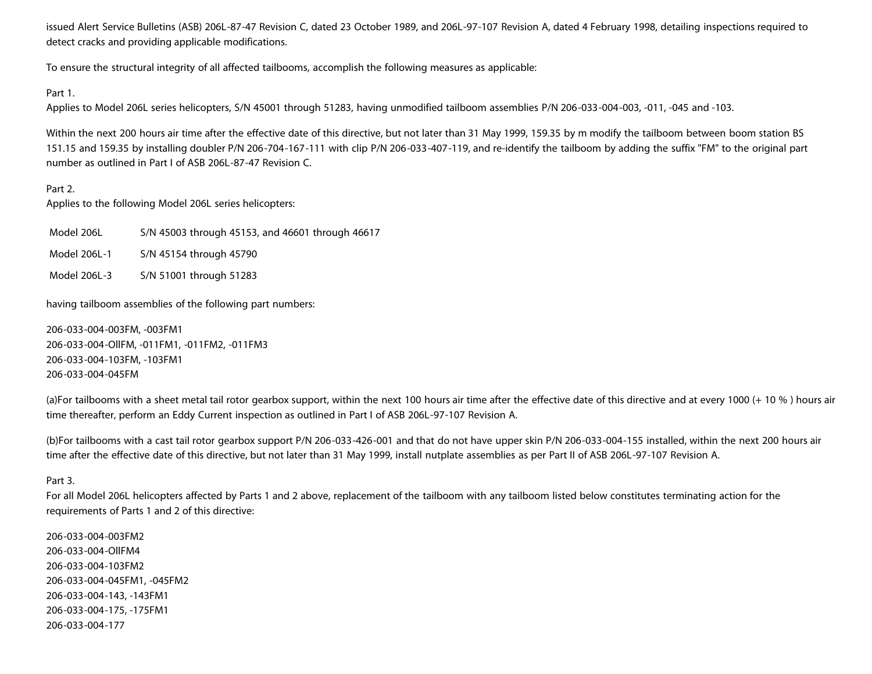issued Alert Service Bulletins (ASB) 206L-87-47 Revision C, dated 23 October 1989, and 206L-97-107 Revision A, dated 4 February 1998, detailing inspections required to detect cracks and providing applicable modifications.

To ensure the structural integrity of all affected tailbooms, accomplish the following measures as applicable:

#### Part 1.

Applies to Model 206L series helicopters, S/N 45001 through 51283, having unmodified tailboom assemblies P/N 206-033-004-003, -011, -045 and -103.

Within the next 200 hours air time after the effective date of this directive, but not later than 31 May 1999, 159.35 by m modify the tailboom between boom station BS 151.15 and 159.35 by installing doubler P/N 206-704-167-111 with clip P/N 206-033-407-119, and re-identify the tailboom by adding the suffix "FM" to the original part number as outlined in Part I of ASB 206L-87-47 Revision C.

#### Part 2.

Applies to the following Model 206L series helicopters:

Model 206L S/N 45003 through 45153, and 46601 through 46617

- Model 206L-1 S/N 45154 through 45790
- Model 206L-3 S/N 51001 through 51283

having tailboom assemblies of the following part numbers:

206-033-004-003FM, -003FM1 206-033-004-OllFM, -011FM1, -011FM2, -011FM3 206-033-004-103FM, -103FM1 206-033-004-045FM

(a)For tailbooms with a sheet metal tail rotor gearbox support, within the next 100 hours air time after the effective date of this directive and at every 1000 (+ 10 %) hours air time thereafter, perform an Eddy Current inspection as outlined in Part I of ASB 206L-97-107 Revision A.

(b)For tailbooms with a cast tail rotor gearbox support P/N 206-033-426-001 and that do not have upper skin P/N 206-033-004-155 installed, within the next 200 hours air time after the effective date of this directive, but not later than 31 May 1999, install nutplate assemblies as per Part II of ASB 206L-97-107 Revision A.

#### Part 3.

For all Model 206L helicopters affected by Parts 1 and 2 above, replacement of the tailboom with any tailboom listed below constitutes terminating action for the requirements of Parts 1 and 2 of this directive:

206-033-004-003FM2 206-033-004-OllFM4 206-033-004-103FM2 206-033-004-045FM1, -045FM2 206-033-004-143, -143FM1 206-033-004-175, -175FM1 206-033-004-177